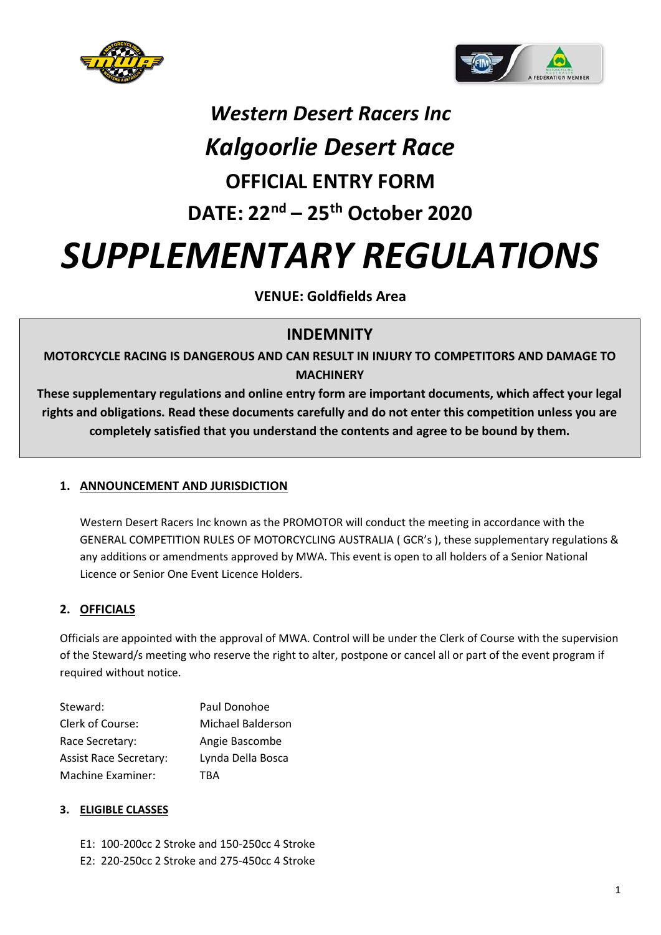



# *Western Desert Racers Inc*

### *Kalgoorlie Desert Race* **OFFICIAL ENTRY FORM**

## **DATE: 22nd – 25th October 2020**

## *SUPPLEMENTARY REGULATIONS*

**VENUE: Goldfields Area**

### **INDEMNITY**

**MOTORCYCLE RACING IS DANGEROUS AND CAN RESULT IN INJURY TO COMPETITORS AND DAMAGE TO MACHINERY**

**These supplementary regulations and online entry form are important documents, which affect your legal rights and obligations. Read these documents carefully and do not enter this competition unless you are completely satisfied that you understand the contents and agree to be bound by them.**

#### **1. ANNOUNCEMENT AND JURISDICTION**

Western Desert Racers Inc known as the PROMOTOR will conduct the meeting in accordance with the GENERAL COMPETITION RULES OF MOTORCYCLING AUSTRALIA ( GCR's ), these supplementary regulations & any additions or amendments approved by MWA. This event is open to all holders of a Senior National Licence or Senior One Event Licence Holders.

#### **2. OFFICIALS**

Officials are appointed with the approval of MWA. Control will be under the Clerk of Course with the supervision of the Steward/s meeting who reserve the right to alter, postpone or cancel all or part of the event program if required without notice.

| Steward:                      | Paul Donohoe      |
|-------------------------------|-------------------|
| Clerk of Course:              | Michael Balderson |
| Race Secretary:               | Angie Bascombe    |
| <b>Assist Race Secretary:</b> | Lynda Della Bosca |
| Machine Examiner:             | TRA               |

#### **3. ELIGIBLE CLASSES**

E1: 100-200cc 2 Stroke and 150-250cc 4 Stroke E2: 220-250cc 2 Stroke and 275-450cc 4 Stroke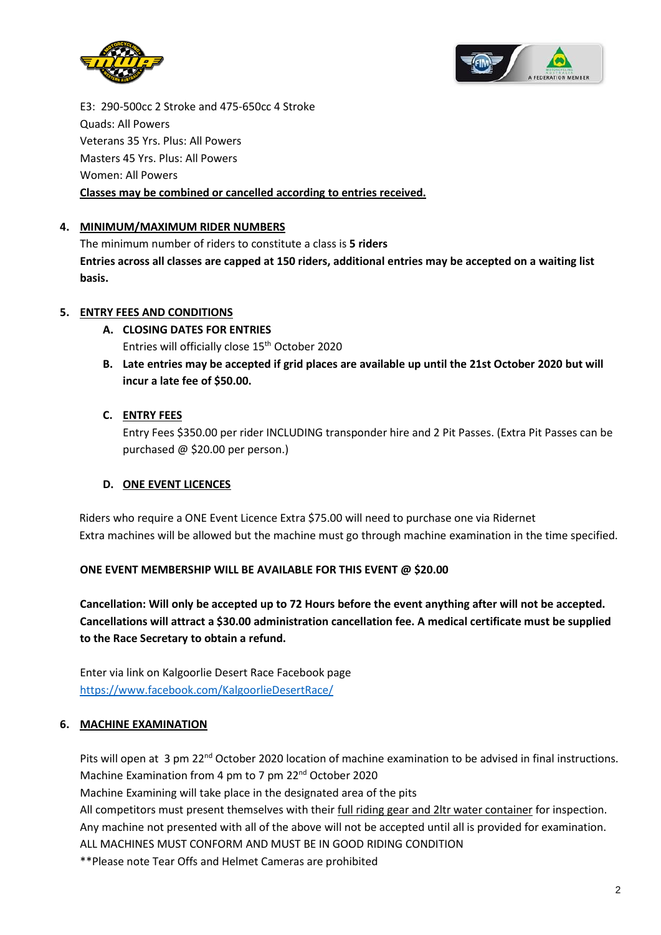



E3: 290-500cc 2 Stroke and 475-650cc 4 Stroke Quads: All Powers Veterans 35 Yrs. Plus: All Powers Masters 45 Yrs. Plus: All Powers Women: All Powers **Classes may be combined or cancelled according to entries received.** 

#### **4. MINIMUM/MAXIMUM RIDER NUMBERS**

The minimum number of riders to constitute a class is **5 riders Entries across all classes are capped at 150 riders, additional entries may be accepted on a waiting list basis.**

#### **5. ENTRY FEES AND CONDITIONS**

- **A. CLOSING DATES FOR ENTRIES** Entries will officially close 15th October 2020
- **B. Late entries may be accepted if grid places are available up until the 21st October 2020 but will incur a late fee of \$50.00.**

#### **C. ENTRY FEES**

Entry Fees \$350.00 per rider INCLUDING transponder hire and 2 Pit Passes. (Extra Pit Passes can be purchased @ \$20.00 per person.)

#### **D. ONE EVENT LICENCES**

Riders who require a ONE Event Licence Extra \$75.00 will need to purchase one via Ridernet Extra machines will be allowed but the machine must go through machine examination in the time specified.

#### **ONE EVENT MEMBERSHIP WILL BE AVAILABLE FOR THIS EVENT @ \$20.00**

**Cancellation: Will only be accepted up to 72 Hours before the event anything after will not be accepted. Cancellations will attract a \$30.00 administration cancellation fee. A medical certificate must be supplied to the Race Secretary to obtain a refund.** 

Enter via link on Kalgoorlie Desert Race Facebook page <https://www.facebook.com/KalgoorlieDesertRace/>

#### **6. MACHINE EXAMINATION**

Pits will open at 3 pm 22<sup>nd</sup> October 2020 location of machine examination to be advised in final instructions. Machine Examination from 4 pm to 7 pm 22<sup>nd</sup> October 2020

Machine Examining will take place in the designated area of the pits

All competitors must present themselves with their full riding gear and 2ltr water container for inspection. Any machine not presented with all of the above will not be accepted until all is provided for examination.

ALL MACHINES MUST CONFORM AND MUST BE IN GOOD RIDING CONDITION

\*\*Please note Tear Offs and Helmet Cameras are prohibited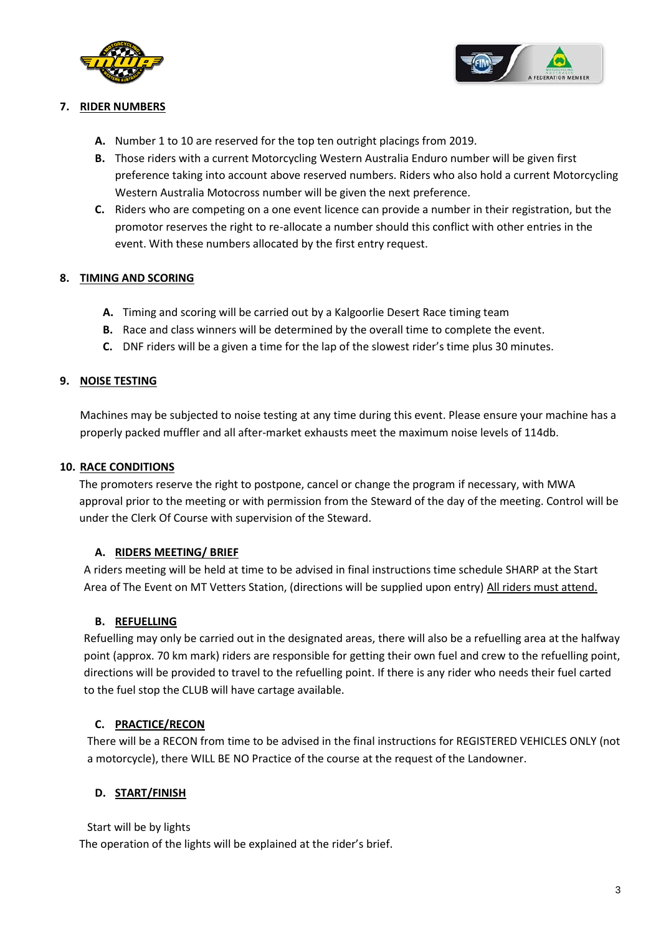



#### **7. RIDER NUMBERS**

- **A.** Number 1 to 10 are reserved for the top ten outright placings from 2019.
- **B.** Those riders with a current Motorcycling Western Australia Enduro number will be given first preference taking into account above reserved numbers. Riders who also hold a current Motorcycling Western Australia Motocross number will be given the next preference.
- **C.** Riders who are competing on a one event licence can provide a number in their registration, but the promotor reserves the right to re-allocate a number should this conflict with other entries in the event. With these numbers allocated by the first entry request.

#### **8. TIMING AND SCORING**

- **A.** Timing and scoring will be carried out by a Kalgoorlie Desert Race timing team
- **B.** Race and class winners will be determined by the overall time to complete the event.
- **C.** DNF riders will be a given a time for the lap of the slowest rider's time plus 30 minutes.

#### **9. NOISE TESTING**

Machines may be subjected to noise testing at any time during this event. Please ensure your machine has a properly packed muffler and all after-market exhausts meet the maximum noise levels of 114db.

#### **10. RACE CONDITIONS**

The promoters reserve the right to postpone, cancel or change the program if necessary, with MWA approval prior to the meeting or with permission from the Steward of the day of the meeting. Control will be under the Clerk Of Course with supervision of the Steward.

#### **A. RIDERS MEETING/ BRIEF**

A riders meeting will be held at time to be advised in final instructions time schedule SHARP at the Start Area of The Event on MT Vetters Station, (directions will be supplied upon entry) All riders must attend.

#### **B. REFUELLING**

Refuelling may only be carried out in the designated areas, there will also be a refuelling area at the halfway point (approx. 70 km mark) riders are responsible for getting their own fuel and crew to the refuelling point, directions will be provided to travel to the refuelling point. If there is any rider who needs their fuel carted to the fuel stop the CLUB will have cartage available.

#### **C. PRACTICE/RECON**

There will be a RECON from time to be advised in the final instructions for REGISTERED VEHICLES ONLY (not a motorcycle), there WILL BE NO Practice of the course at the request of the Landowner.

#### **D. START/FINISH**

Start will be by lights

The operation of the lights will be explained at the rider's brief.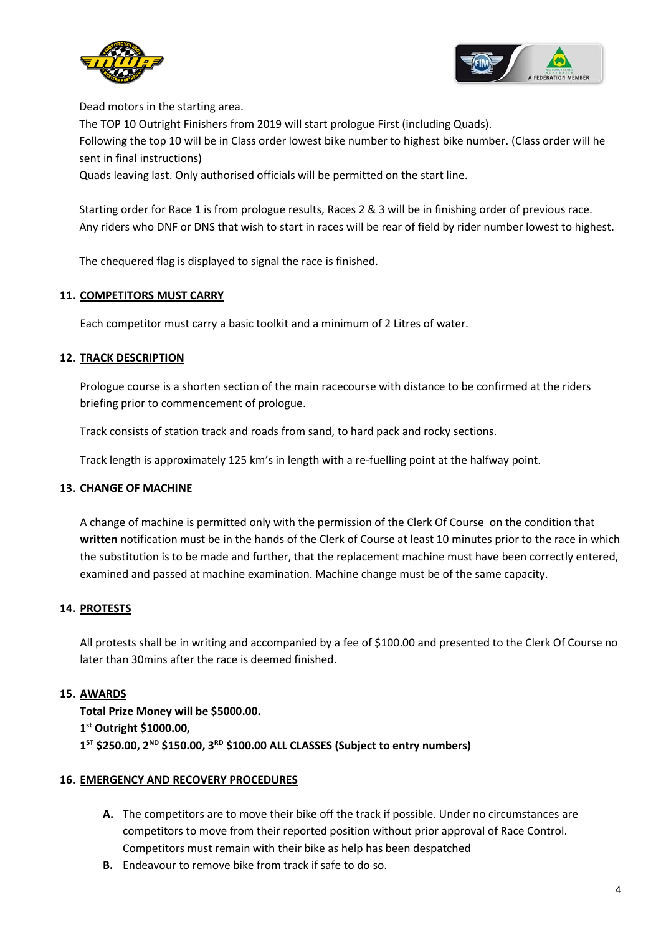



Dead motors in the starting area.

The TOP 10 Outright Finishers from 2019 will start prologue First (including Quads).

Following the top 10 will be in Class order lowest bike number to highest bike number. (Class order will he sent in final instructions)

Quads leaving last. Only authorised officials will be permitted on the start line.

Starting order for Race 1 is from prologue results, Races 2 & 3 will be in finishing order of previous race. Any riders who DNF or DNS that wish to start in races will be rear of field by rider number lowest to highest.

The chequered flag is displayed to signal the race is finished.

#### **11. COMPETITORS MUST CARRY**

Each competitor must carry a basic toolkit and a minimum of 2 Litres of water.

#### **12. TRACK DESCRIPTION**

Prologue course is a shorten section of the main racecourse with distance to be confirmed at the riders briefing prior to commencement of prologue.

Track consists of station track and roads from sand, to hard pack and rocky sections.

Track length is approximately 125 km's in length with a re-fuelling point at the halfway point.

#### **13. CHANGE OF MACHINE**

A change of machine is permitted only with the permission of the Clerk Of Course on the condition that **written** notification must be in the hands of the Clerk of Course at least 10 minutes prior to the race in which the substitution is to be made and further, that the replacement machine must have been correctly entered, examined and passed at machine examination. Machine change must be of the same capacity.

#### **14. PROTESTS**

All protests shall be in writing and accompanied by a fee of \$100.00 and presented to the Clerk Of Course no later than 30mins after the race is deemed finished.

#### **15. AWARDS**

**Total Prize Money will be \$5000.00. 1 st Outright \$1000.00, 1 ST \$250.00, 2ND \$150.00, 3RD \$100.00 ALL CLASSES (Subject to entry numbers)** 

#### **16. EMERGENCY AND RECOVERY PROCEDURES**

- **A.** The competitors are to move their bike off the track if possible. Under no circumstances are competitors to move from their reported position without prior approval of Race Control. Competitors must remain with their bike as help has been despatched
- **B.** Endeavour to remove bike from track if safe to do so.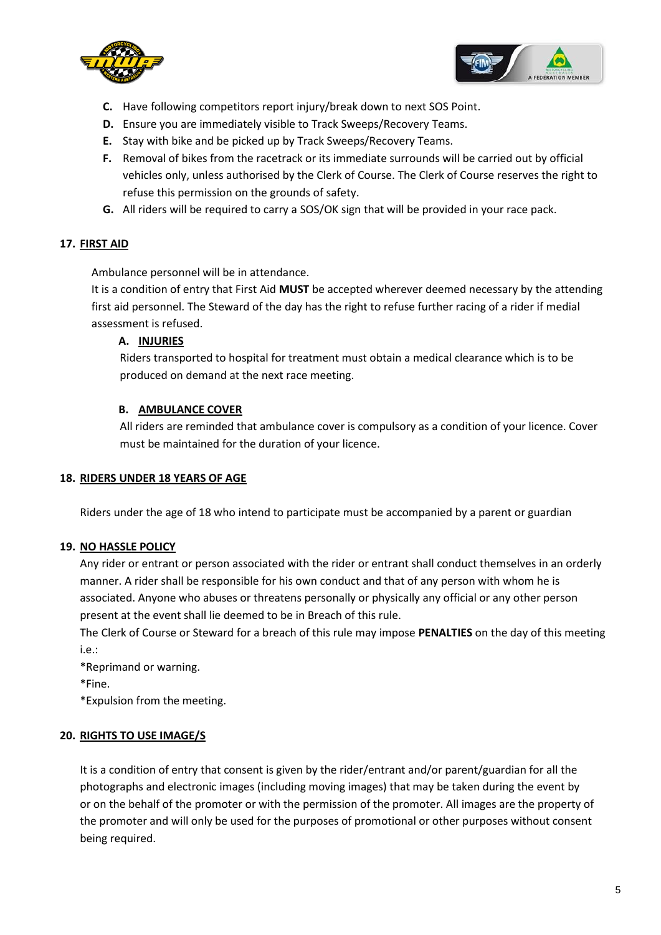



- **C.** Have following competitors report injury/break down to next SOS Point.
- **D.** Ensure you are immediately visible to Track Sweeps/Recovery Teams.
- **E.** Stay with bike and be picked up by Track Sweeps/Recovery Teams.
- **F.** Removal of bikes from the racetrack or its immediate surrounds will be carried out by official vehicles only, unless authorised by the Clerk of Course. The Clerk of Course reserves the right to refuse this permission on the grounds of safety.
- **G.** All riders will be required to carry a SOS/OK sign that will be provided in your race pack.

#### **17. FIRST AID**

Ambulance personnel will be in attendance.

It is a condition of entry that First Aid **MUST** be accepted wherever deemed necessary by the attending first aid personnel. The Steward of the day has the right to refuse further racing of a rider if medial assessment is refused.

#### **A. INJURIES**

Riders transported to hospital for treatment must obtain a medical clearance which is to be produced on demand at the next race meeting.

#### **B. AMBULANCE COVER**

All riders are reminded that ambulance cover is compulsory as a condition of your licence. Cover must be maintained for the duration of your licence.

#### **18. RIDERS UNDER 18 YEARS OF AGE**

Riders under the age of 18 who intend to participate must be accompanied by a parent or guardian

#### **19. NO HASSLE POLICY**

Any rider or entrant or person associated with the rider or entrant shall conduct themselves in an orderly manner. A rider shall be responsible for his own conduct and that of any person with whom he is associated. Anyone who abuses or threatens personally or physically any official or any other person present at the event shall lie deemed to be in Breach of this rule.

The Clerk of Course or Steward for a breach of this rule may impose **PENALTIES** on the day of this meeting i.e.:

\*Reprimand or warning.

\*Fine.

\*Expulsion from the meeting.

#### **20. RIGHTS TO USE IMAGE/S**

It is a condition of entry that consent is given by the rider/entrant and/or parent/guardian for all the photographs and electronic images (including moving images) that may be taken during the event by or on the behalf of the promoter or with the permission of the promoter. All images are the property of the promoter and will only be used for the purposes of promotional or other purposes without consent being required.